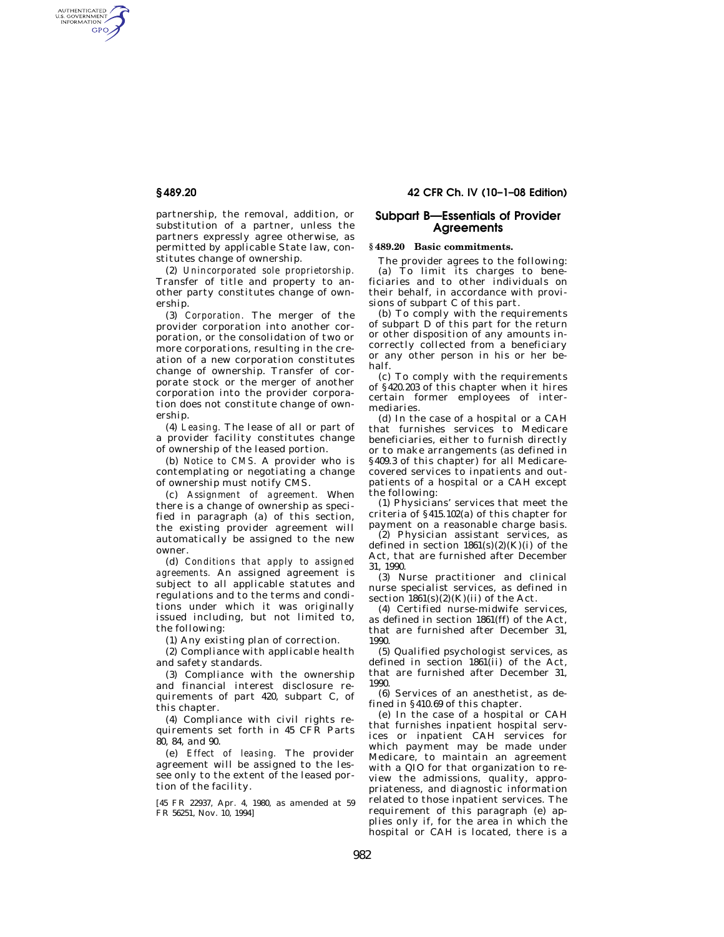AUTHENTICATED<br>U.S. GOVERNMENT<br>INFORMATION GPO

> partnership, the removal, addition, or substitution of a partner, unless the partners expressly agree otherwise, as permitted by applicable State law, constitutes change of ownership.

> (2) *Unincorporated sole proprietorship.*  Transfer of title and property to another party constitutes change of ownership.

> (3) *Corporation.* The merger of the provider corporation into another corporation, or the consolidation of two or more corporations, resulting in the creation of a new corporation constitutes change of ownership. Transfer of corporate stock or the merger of another corporation into the provider corporation does not constitute change of ownership.

> (4) *Leasing.* The lease of all or part of a provider facility constitutes change of ownership of the leased portion.

> (b) *Notice to CMS.* A provider who is contemplating or negotiating a change of ownership must notify CMS.

> (c) *Assignment of agreement.* When there is a change of ownership as specified in paragraph (a) of this section, the existing provider agreement will automatically be assigned to the new owner.

> (d) *Conditions that apply to assigned agreements.* An assigned agreement is subject to all applicable statutes and regulations and to the terms and conditions under which it was originally issued including, but not limited to, the following:

(1) Any existing plan of correction.

(2) Compliance with applicable health and safety standards.

(3) Compliance with the ownership and financial interest disclosure requirements of part 420, subpart C, of this chapter.

(4) Compliance with civil rights requirements set forth in 45 CFR Parts 80, 84, and 90.

(e) *Effect of leasing.* The provider agreement will be assigned to the lessee only to the extent of the leased portion of the facility.

[45 FR 22937, Apr. 4, 1980, as amended at 59 FR 56251, Nov. 10, 1994]

# **§ 489.20 42 CFR Ch. IV (10–1–08 Edition)**

# **Subpart B—Essentials of Provider Agreements**

### **§ 489.20 Basic commitments.**

The provider agrees to the following: (a) To limit its charges to beneficiaries and to other individuals on their behalf, in accordance with provisions of subpart C of this part.

(b) To comply with the requirements of subpart D of this part for the return or other disposition of any amounts incorrectly collected from a beneficiary or any other person in his or her behalf.

(c) To comply with the requirements of §420.203 of this chapter when it hires certain former employees of intermediaries.

(d) In the case of a hospital or a CAH that furnishes services to Medicare beneficiaries, either to furnish directly or to make arrangements (as defined in §409.3 of this chapter) for all Medicarecovered services to inpatients and outpatients of a hospital or a CAH except the following:

(1) Physicians' services that meet the criteria of §415.102(a) of this chapter for payment on a reasonable charge basis.

(2) Physician assistant services, as defined in section  $1861(s)(2)(K)(i)$  of the Act, that are furnished after December 31, 1990.

(3) Nurse practitioner and clinical nurse specialist services, as defined in section  $1861(s)(2)(K)(ii)$  of the Act.

(4) Certified nurse-midwife services, as defined in section 1861(ff) of the Act, that are furnished after December 31, 1990.

(5) Qualified psychologist services, as defined in section 1861(ii) of the Act, that are furnished after December 31, 1990.

(6) Services of an anesthetist, as defined in §410.69 of this chapter.

(e) In the case of a hospital or CAH that furnishes inpatient hospital services or inpatient CAH services for which payment may be made under Medicare, to maintain an agreement with a QIO for that organization to review the admissions, quality, appropriateness, and diagnostic information related to those inpatient services. The requirement of this paragraph (e) applies only if, for the area in which the hospital or CAH is located, there is a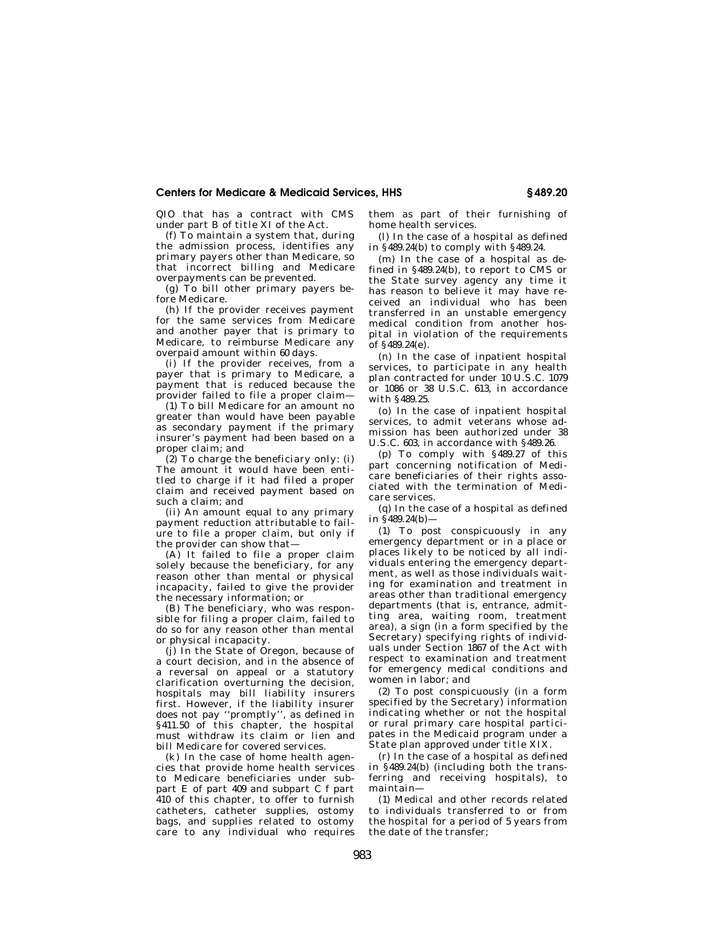## **Centers for Medicare & Medicaid Services, HHS § 489.20**

QIO that has a contract with CMS under part B of title XI of the Act.

(f) To maintain a system that, during the admission process, identifies any primary payers other than Medicare, so that incorrect billing and Medicare overpayments can be prevented.

(g) To bill other primary payers before Medicare.

(h) If the provider receives payment for the same services from Medicare and another payer that is primary to Medicare, to reimburse Medicare any overpaid amount within 60 days.

(i) If the provider receives, from a payer that is primary to Medicare, a payment that is reduced because the provider failed to file a proper claim—

(1) To bill Medicare for an amount no greater than would have been payable as secondary payment if the primary insurer's payment had been based on a proper claim; and

 $(2)$  To charge the beneficiary only: (i) The amount it would have been entitled to charge if it had filed a proper claim and received payment based on such a claim; and

(ii) An amount equal to any primary payment reduction attributable to failure to file a proper claim, but only if the provider can show that—

(A) It failed to file a proper claim solely because the beneficiary, for any reason other than mental or physical incapacity, failed to give the provider the necessary information; or

(B) The beneficiary, who was responsible for filing a proper claim, failed to do so for any reason other than mental or physical incapacity.

(j) In the State of Oregon, because of a court decision, and in the absence of a reversal on appeal or a statutory clarification overturning the decision, hospitals may bill liability insurers first. However, if the liability insurer does not pay ''promptly'', as defined in §411.50 of this chapter, the hospital must withdraw its claim or lien and bill Medicare for covered services.

(k) In the case of home health agencies that provide home health services to Medicare beneficiaries under subpart E of part 409 and subpart C f part 410 of this chapter, to offer to furnish catheters, catheter supplies, ostomy bags, and supplies related to ostomy care to any individual who requires them as part of their furnishing of home health services.

(l) In the case of a hospital as defined in §489.24(b) to comply with §489.24.

(m) In the case of a hospital as defined in §489.24(b), to report to CMS or the State survey agency any time it has reason to believe it may have received an individual who has been transferred in an unstable emergency medical condition from another hospital in violation of the requirements of §489.24(e).

(n) In the case of inpatient hospital services, to participate in any health plan contracted for under 10 U.S.C. 1079 or 1086 or 38 U.S.C. 613, in accordance with §489.25.

(o) In the case of inpatient hospital services, to admit veterans whose admission has been authorized under 38 U.S.C. 603, in accordance with §489.26.

(p) To comply with §489.27 of this part concerning notification of Medicare beneficiaries of their rights associated with the termination of Medicare services.

(q) In the case of a hospital as defined in  $\sqrt{489.24}$ (b) —

(1) To post conspicuously in any emergency department or in a place or places likely to be noticed by all individuals entering the emergency department, as well as those individuals waiting for examination and treatment in areas other than traditional emergency departments (that is, entrance, admitting area, waiting room, treatment area), a sign (in a form specified by the Secretary) specifying rights of individuals under Section 1867 of the Act with respect to examination and treatment for emergency medical conditions and women in labor; and

(2) To post conspicuously (in a form specified by the Secretary) information indicating whether or not the hospital or rural primary care hospital participates in the Medicaid program under a State plan approved under title XIX.

(r) In the case of a hospital as defined in §489.24(b) (including both the transferring and receiving hospitals), to maintain—

(1) Medical and other records related to individuals transferred to or from the hospital for a period of 5 years from the date of the transfer;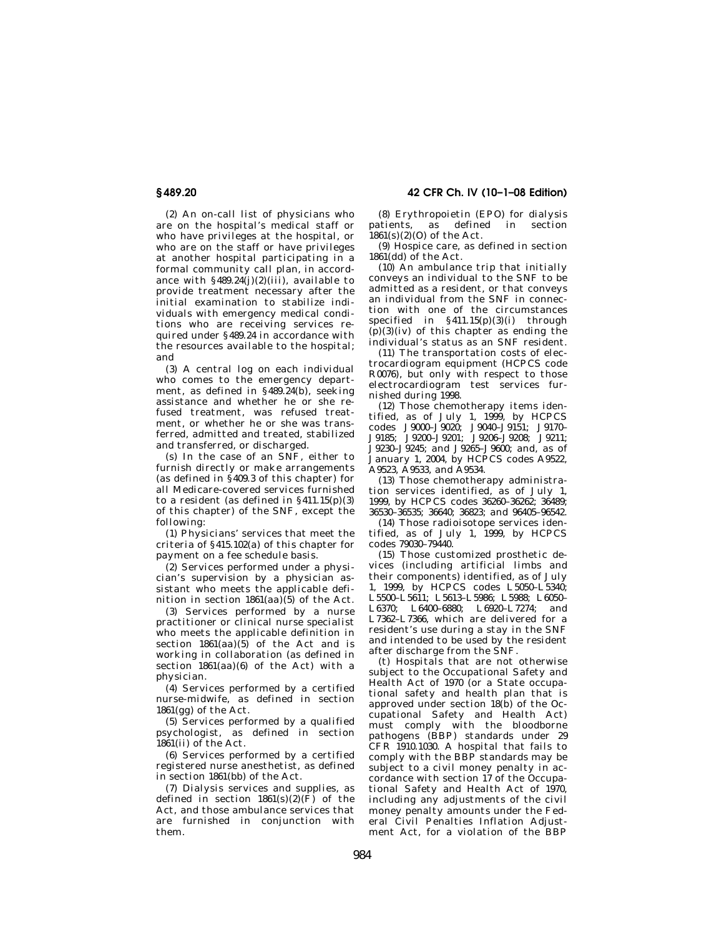(2) An on-call list of physicians who are on the hospital's medical staff or who have privileges at the hospital, or who are on the staff or have privileges at another hospital participating in a formal community call plan, in accordance with  $§489.24(j)(2)(iii)$ , available to provide treatment necessary after the initial examination to stabilize individuals with emergency medical conditions who are receiving services required under §489.24 in accordance with the resources available to the hospital; and

(3) A central log on each individual who comes to the emergency department, as defined in §489.24(b), seeking assistance and whether he or she refused treatment, was refused treatment, or whether he or she was transferred, admitted and treated, stabilized and transferred, or discharged.

(s) In the case of an SNF, either to furnish directly or make arrangements (as defined in  $\S 409.3$  of this chapter) for all Medicare-covered services furnished to a resident (as defined in  $\S 411.15(p)(3)$ of this chapter) of the SNF, except the following:

(1) Physicians' services that meet the criteria of §415.102(a) of this chapter for payment on a fee schedule basis.

(2) Services performed under a physician's supervision by a physician assistant who meets the applicable definition in section  $1861(aa)(5)$  of the Act.

(3) Services performed by a nurse practitioner or clinical nurse specialist who meets the applicable definition in section  $1861(aa)(5)$  of the Act and is working in collaboration (as defined in section 1861(aa)(6) of the Act) with a physician.

(4) Services performed by a certified nurse-midwife, as defined in section 1861(gg) of the Act.

(5) Services performed by a qualified psychologist, as defined in section 1861(ii) of the Act.

(6) Services performed by a certified registered nurse anesthetist, as defined in section 1861(bb) of the Act.

(7) Dialysis services and supplies, as defined in section  $1861(s)(2)(\hat{F})$  of the Act, and those ambulance services that are furnished in conjunction with them.

(8) Erythropoietin (EPO) for dialysis patients, as defined in section  $1861(s)(2)(0)$  of the Act.

(9) Hospice care, as defined in section  $1861$ (dd) of the Act.

(10) An ambulance trip that initially conveys an individual to the SNF to be admitted as a resident, or that conveys an individual from the SNF in connection with one of the circumstances specified in  $\S 411.15(p)(3)(i)$  through  $(p)(3)(iv)$  of this chapter as ending the individual's status as an SNF resident.

(11) The transportation costs of electrocardiogram equipment (HCPCS code R0076), but only with respect to those electrocardiogram test services furnished during 1998.

(12) Those chemotherapy items identified, as of July 1, 1999, by HCPCS codes J9000–J9020; J9040–J9151; J9170– J9185; J9200–J9201; J9206–J9208; J9211; J9230–J9245; and J9265–J9600; and, as of January 1, 2004, by HCPCS codes A9522, A9523, A9533, and A9534.

(13) Those chemotherapy administration services identified, as of July 1, 1999, by HCPCS codes 36260–36262; 36489; 36530–36535; 36640; 36823; and 96405–96542.

(14) Those radioisotope services identified, as of July 1, 1999, by HCPCS codes 79030–79440.

(15) Those customized prosthetic devices (including artificial limbs and their components) identified, as of July 1, 1999, by HCPCS codes L5050–L5340; L5500–L5611; L5613–L5986; L5988; L6050– L6370; L6400–6880; L6920–L7274; and L7362–L7366, which are delivered for a resident's use during a stay in the SNF and intended to be used by the resident after discharge from the SNF.

(t) Hospitals that are not otherwise subject to the Occupational Safety and Health Act of 1970 (or a State occupational safety and health plan that is approved under section 18(b) of the Occupational Safety and Health Act) must comply with the bloodborne pathogens (BBP) standards under 29 CFR 1910.1030. A hospital that fails to comply with the BBP standards may be subject to a civil money penalty in accordance with section 17 of the Occupational Safety and Health Act of 1970, including any adjustments of the civil money penalty amounts under the Federal Civil Penalties Inflation Adjustment Act, for a violation of the BBP